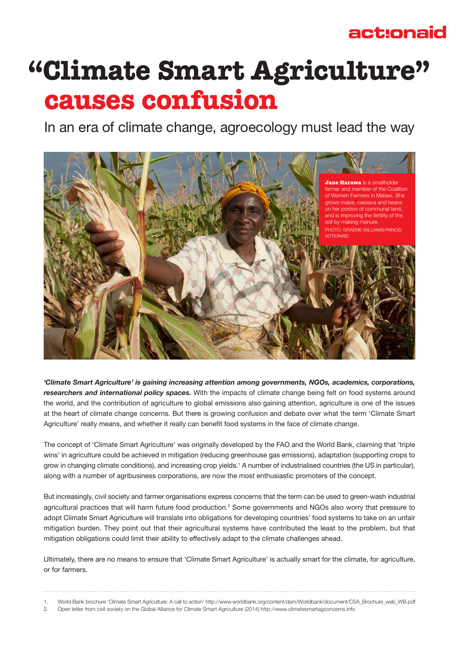## actionaid

# **"Climate Smart Agriculture" causes confusion**

In an era of climate change, agroecology must lead the way



*'Climate Smart Agriculture' is gaining increasing attention among governments, NGOs, academics, corporations, researchers and international policy spaces.* With the impacts of climate change being felt on food systems around the world, and the contribution of agriculture to global emissions also gaining attention, agriculture is one of the issues at the heart of climate change concerns. But there is growing confusion and debate over what the term 'Climate Smart Agriculture' really means, and whether it really can benefit food systems in the face of climate change.

The concept of 'Climate Smart Agriculture' was originally developed by the FAO and the World Bank, claiming that 'triple wins' in agriculture could be achieved in mitigation (reducing greenhouse gas emissions), adaptation (supporting crops to grow in changing climate conditions), and increasing crop yields.<sup>1</sup> A number of industrialised countries (the US in particular), along with a number of agribusiness corporations, are now the most enthusiastic promoters of the concept.

But increasingly, civil society and farmer organisations express concerns that the term can be used to green-wash industrial agricultural practices that will harm future food production.<sup>2</sup> Some governments and NGOs also worry that pressure to adopt Climate Smart Agriculture will translate into obligations for developing countries' food systems to take on an unfair mitigation burden. They point out that their agricultural systems have contributed the least to the problem, but that mitigation obligations could limit their ability to effectively adapt to the climate challenges ahead.

Ultimately, there are no means to ensure that 'Climate Smart Agriculture' is actually smart for the climate, for agriculture, or for farmers.

<sup>1.</sup> World Bank brochure 'Climate Smart Agriculture: A call to action' http://www.worldbank.org/content/dam/Worldbank/document/CSA\_Brochure\_web\_WB.pdf 2. Open letter from civil society on the Global Alliance for Climate Smart Agriculture (2014) http://www.climatesmartagconcerns.info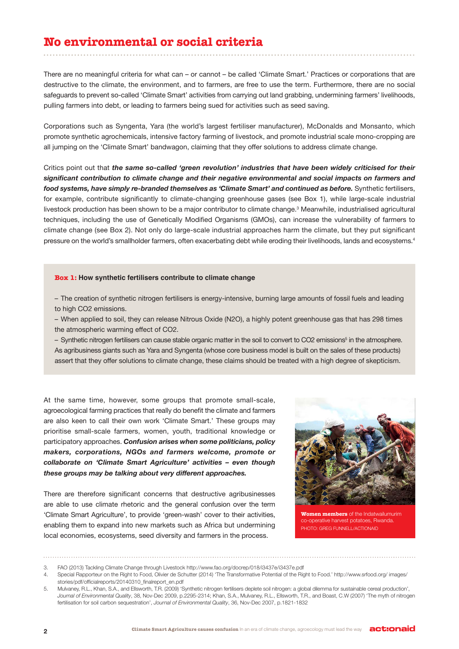## **No environmental or social criteria**

There are no meaningful criteria for what can – or cannot – be called 'Climate Smart.' Practices or corporations that are destructive to the climate, the environment, and to farmers, are free to use the term. Furthermore, there are no social safeguards to prevent so-called 'Climate Smart' activities from carrying out land grabbing, undermining farmers' livelihoods, pulling farmers into debt, or leading to farmers being sued for activities such as seed saving.

Corporations such as Syngenta, Yara (the world's largest fertiliser manufacturer), McDonalds and Monsanto, which promote synthetic agrochemicals, intensive factory farming of livestock, and promote industrial scale mono-cropping are all jumping on the 'Climate Smart' bandwagon, claiming that they offer solutions to address climate change.

Critics point out that *the same so-called 'green revolution' industries that have been widely criticised for their significant contribution to climate change and their negative environmental and social impacts on farmers and food systems, have simply re-branded themselves as 'Climate Smart' and continued as before.* Synthetic fertilisers, for example, contribute significantly to climate-changing greenhouse gases (see Box 1), while large-scale industrial livestock production has been shown to be a major contributor to climate change.3 Meanwhile, industrialised agricultural techniques, including the use of Genetically Modified Organisms (GMOs), can increase the vulnerability of farmers to climate change (see Box 2). Not only do large-scale industrial approaches harm the climate, but they put significant pressure on the world's smallholder farmers, often exacerbating debt while eroding their livelihoods, lands and ecosystems.4

#### **Box 1: How synthetic fertilisers contribute to climate change**

– The creation of synthetic nitrogen fertilisers is energy-intensive, burning large amounts of fossil fuels and leading to high CO2 emissions.

– When applied to soil, they can release Nitrous Oxide (N2O), a highly potent greenhouse gas that has 298 times the atmospheric warming effect of CO2.

– Synthetic nitrogen fertilisers can cause stable organic matter in the soil to convert to CO2 emissions<sup>5</sup> in the atmosphere. As agribusiness giants such as Yara and Syngenta (whose core business model is built on the sales of these products) assert that they offer solutions to climate change, these claims should be treated with a high degree of skepticism.

At the same time, however, some groups that promote small-scale, agroecological farming practices that really do benefit the climate and farmers are also keen to call their own work 'Climate Smart.' These groups may prioritise small-scale farmers, women, youth, traditional knowledge or participatory approaches. *Confusion arises when some politicians, policy makers, corporations, NGOs and farmers welcome, promote or collaborate on 'Climate Smart Agriculture' activities – even though these groups may be talking about very different approaches.*

There are therefore significant concerns that destructive agribusinesses are able to use climate rhetoric and the general confusion over the term 'Climate Smart Agriculture', to provide 'green-wash' cover to their activities, enabling them to expand into new markets such as Africa but undermining local economies, ecosystems, seed diversity and farmers in the process.



**Women members** of the Indatwailumurim co-operative harvest potatoes, Rwanda. PHOTO: GREG FUNNELL/ACTIONAID

<sup>3.</sup> FAO (2013) Tackling Climate Change through Livestock http://www.fao.org/docrep/018/i3437e/i3437e.pdf

<sup>4.</sup> Special Rapporteur on the Right to Food, Olivier de Schutter (2014) 'The Transformative Potential of the Right to Food.' http://www.srfood.org/ images/ stories/pdf/officialreports/20140310\_finalreport\_en.pdf

<sup>5.</sup> Mulvaney, R.L., Khan, S.A., and Ellsworth, T.R. (2009) 'Synthetic nitrogen fertilisers deplete soil nitrogen: a global dilemma for sustainable cereal production', *Journal of Environmental Quality*, 38, Nov-Dec 2009, p.2295-2314; Khan, S.A., Mulvaney, R.L., Ellsworth, T.R., and Boast, C.W (2007) 'The myth of nitrogen fertilisation for soil carbon sequestration', *Journal of Environmental Quality*, 36, Nov-Dec 2007, p.1821-1832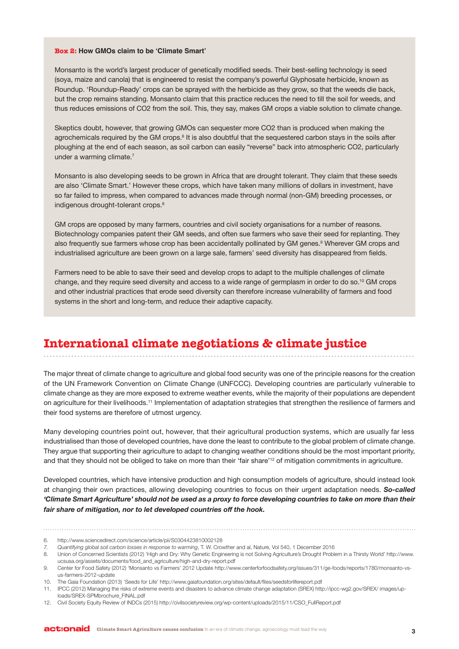#### **Box 2: How GMOs claim to be 'Climate Smart'**

Monsanto is the world's largest producer of genetically modified seeds. Their best-selling technology is seed (soya, maize and canola) that is engineered to resist the company's powerful Glyphosate herbicide, known as Roundup. 'Roundup-Ready' crops can be sprayed with the herbicide as they grow, so that the weeds die back, but the crop remains standing. Monsanto claim that this practice reduces the need to till the soil for weeds, and thus reduces emissions of CO2 from the soil. This, they say, makes GM crops a viable solution to climate change.

Skeptics doubt, however, that growing GMOs can sequester more CO2 than is produced when making the agrochemicals required by the GM crops.<sup>6</sup> It is also doubtful that the sequestered carbon stays in the soils after ploughing at the end of each season, as soil carbon can easily "reverse" back into atmospheric CO2, particularly under a warming climate.<sup>7</sup>

Monsanto is also developing seeds to be grown in Africa that are drought tolerant. They claim that these seeds are also 'Climate Smart.' However these crops, which have taken many millions of dollars in investment, have so far failed to impress, when compared to advances made through normal (non-GM) breeding processes, or indigenous drought-tolerant crops.<sup>8</sup>

GM crops are opposed by many farmers, countries and civil society organisations for a number of reasons. Biotechnology companies patent their GM seeds, and often sue farmers who save their seed for replanting. They also frequently sue farmers whose crop has been accidentally pollinated by GM genes.<sup>9</sup> Wherever GM crops and industrialised agriculture are been grown on a large sale, farmers' seed diversity has disappeared from fields.

Farmers need to be able to save their seed and develop crops to adapt to the multiple challenges of climate change, and they require seed diversity and access to a wide range of germplasm in order to do so.10 GM crops and other industrial practices that erode seed diversity can therefore increase vulnerability of farmers and food systems in the short and long-term, and reduce their adaptive capacity.

## **International climate negotiations & climate justice**

The major threat of climate change to agriculture and global food security was one of the principle reasons for the creation of the UN Framework Convention on Climate Change (UNFCCC). Developing countries are particularly vulnerable to climate change as they are more exposed to extreme weather events, while the majority of their populations are dependent on agriculture for their livelihoods.11 Implementation of adaptation strategies that strengthen the resilience of farmers and their food systems are therefore of utmost urgency.

Many developing countries point out, however, that their agricultural production systems, which are usually far less industrialised than those of developed countries, have done the least to contribute to the global problem of climate change. They argue that supporting their agriculture to adapt to changing weather conditions should be the most important priority, and that they should not be obliged to take on more than their 'fair share'<sup>12</sup> of mitigation commitments in agriculture.

Developed countries, which have intensive production and high consumption models of agriculture, should instead look at changing their own practices, allowing developing countries to focus on their urgent adaptation needs. *So-called 'Climate Smart Agriculture' should not be used as a proxy to force developing countries to take on more than their fair share of mitigation, nor to let developed countries off the hook.*

<sup>6.</sup> http://www.sciencedirect.com/science/article/pii/S0304423810002128

*<sup>7.</sup> Quantifying global soil carbon losses in response to warming*, T. W. Crowther and al, Nature, Vol 540, 1 December 2016

<sup>8.</sup> Union of Concerned Scientists (2012) 'High and Dry: Why Genetic Engineering is not Solving Agriculture's Drought Problem in a Thirsty World' http://www. ucsusa.org/assets/documents/food\_and\_agriculture/high-and-dry-report.pdf

<sup>9.</sup> Center for Food Safety (2012) 'Monsanto vs Farmers' 2012 Update http://www.centerforfoodsafety.org/issues/311/ge-foods/reports/1780/monsanto-vsus-farmers-2012-update

<sup>10.</sup> The Gaia Foundation (2013) 'Seeds for Life' http://www.gaiafoundation.org/sites/default/files/seedsforlifereport.pdf

<sup>11.</sup> IPCC (2012) Managing the risks of extreme events and disasters to advance climate change adaptation (SREX) http://ipcc-wg2.gov/SREX/ images/uploads/SREX-SPMbrochure\_FINAL.pdf

<sup>12.</sup> Civil Society Equity Review of INDCs (2015) http://civilsocietyreview.org/wp-content/uploads/2015/11/CSO\_FullReport.pdf